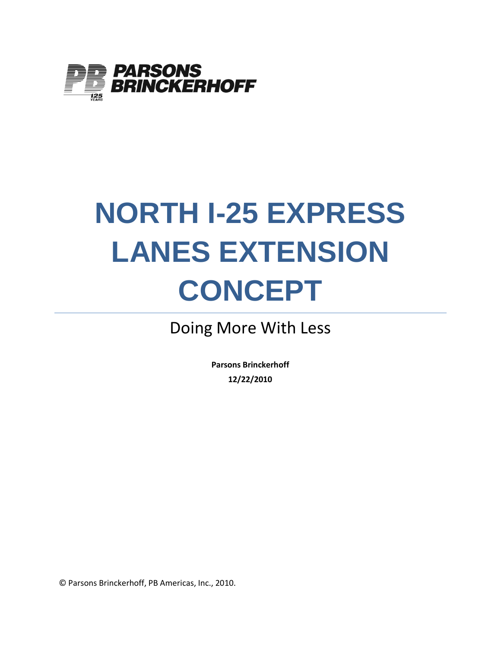

# **NORTH I-25 EXPRESS LANES EXTENSION CONCEPT**

## Doing More With Less

**Parsons Brinckerhoff 12/22/2010**

© Parsons Brinckerhoff, PB Americas, Inc., 2010.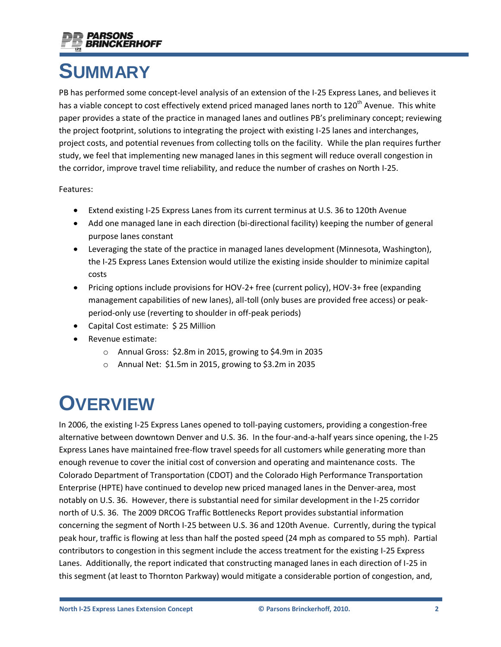

# **SUMMARY**

PB has performed some concept-level analysis of an extension of the I-25 Express Lanes, and believes it has a viable concept to cost effectively extend priced managed lanes north to 120<sup>th</sup> Avenue. This white paper provides a state of the practice in managed lanes and outlines PB's preliminary concept; reviewing the project footprint, solutions to integrating the project with existing I-25 lanes and interchanges, project costs, and potential revenues from collecting tolls on the facility. While the plan requires further study, we feel that implementing new managed lanes in this segment will reduce overall congestion in the corridor, improve travel time reliability, and reduce the number of crashes on North I-25.

#### Features:

- Extend existing I-25 Express Lanes from its current terminus at U.S. 36 to 120th Avenue
- Add one managed lane in each direction (bi-directional facility) keeping the number of general purpose lanes constant
- Leveraging the state of the practice in managed lanes development (Minnesota, Washington), the I-25 Express Lanes Extension would utilize the existing inside shoulder to minimize capital costs
- Pricing options include provisions for HOV-2+ free (current policy), HOV-3+ free (expanding  $\bullet$ management capabilities of new lanes), all-toll (only buses are provided free access) or peakperiod-only use (reverting to shoulder in off-peak periods)
- Capital Cost estimate: \$ 25 Million  $\bullet$
- Revenue estimate:
	- o Annual Gross: \$2.8m in 2015, growing to \$4.9m in 2035
	- o Annual Net: \$1.5m in 2015, growing to \$3.2m in 2035

# **OVERVIEW**

In 2006, the existing I-25 Express Lanes opened to toll-paying customers, providing a congestion-free alternative between downtown Denver and U.S. 36. In the four-and-a-half years since opening, the I-25 Express Lanes have maintained free-flow travel speeds for all customers while generating more than enough revenue to cover the initial cost of conversion and operating and maintenance costs. The Colorado Department of Transportation (CDOT) and the Colorado High Performance Transportation Enterprise (HPTE) have continued to develop new priced managed lanes in the Denver-area, most notably on U.S. 36. However, there is substantial need for similar development in the I-25 corridor north of U.S. 36. The 2009 DRCOG Traffic Bottlenecks Report provides substantial information concerning the segment of North I-25 between U.S. 36 and 120th Avenue. Currently, during the typical peak hour, traffic is flowing at less than half the posted speed (24 mph as compared to 55 mph). Partial contributors to congestion in this segment include the access treatment for the existing I-25 Express Lanes. Additionally, the report indicated that constructing managed lanes in each direction of I-25 in this segment (at least to Thornton Parkway) would mitigate a considerable portion of congestion, and,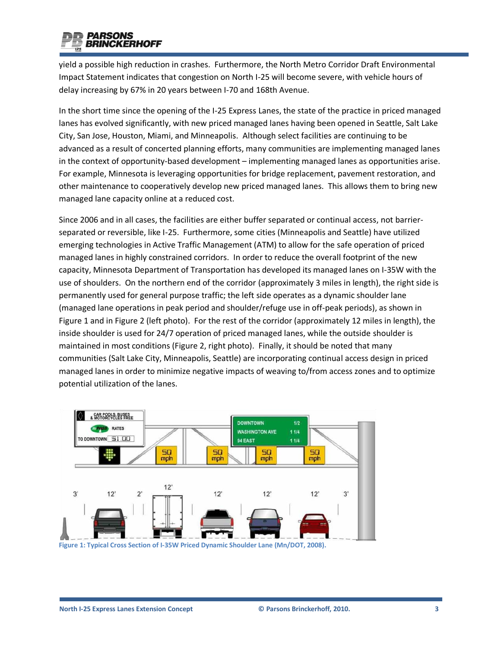

yield a possible high reduction in crashes. Furthermore, the North Metro Corridor Draft Environmental Impact Statement indicates that congestion on North I-25 will become severe, with vehicle hours of delay increasing by 67% in 20 years between I-70 and 168th Avenue.

In the short time since the opening of the I-25 Express Lanes, the state of the practice in priced managed lanes has evolved significantly, with new priced managed lanes having been opened in Seattle, Salt Lake City, San Jose, Houston, Miami, and Minneapolis. Although select facilities are continuing to be advanced as a result of concerted planning efforts, many communities are implementing managed lanes in the context of opportunity-based development – implementing managed lanes as opportunities arise. For example, Minnesota is leveraging opportunities for bridge replacement, pavement restoration, and other maintenance to cooperatively develop new priced managed lanes. This allows them to bring new managed lane capacity online at a reduced cost.

Since 2006 and in all cases, the facilities are either buffer separated or continual access, not barrierseparated or reversible, like I-25. Furthermore, some cities (Minneapolis and Seattle) have utilized emerging technologies in Active Traffic Management (ATM) to allow for the safe operation of priced managed lanes in highly constrained corridors. In order to reduce the overall footprint of the new capacity, Minnesota Department of Transportation has developed its managed lanes on I-35W with the use of shoulders. On the northern end of the corridor (approximately 3 miles in length), the right side is permanently used for general purpose traffic; the left side operates as a dynamic shoulder lane (managed lane operations in peak period and shoulder/refuge use in off-peak periods), as shown in [Figure 1](#page-2-0) and i[n Figure 2](#page-3-0) (left photo). For the rest of the corridor (approximately 12 miles in length), the inside shoulder is used for 24/7 operation of priced managed lanes, while the outside shoulder is maintained in most conditions [\(Figure 2,](#page-3-0) right photo). Finally, it should be noted that many communities (Salt Lake City, Minneapolis, Seattle) are incorporating continual access design in priced managed lanes in order to minimize negative impacts of weaving to/from access zones and to optimize potential utilization of the lanes.



<span id="page-2-0"></span>**Figure 1: Typical Cross Section of I-35W Priced Dynamic Shoulder Lane (Mn/DOT, 2008).**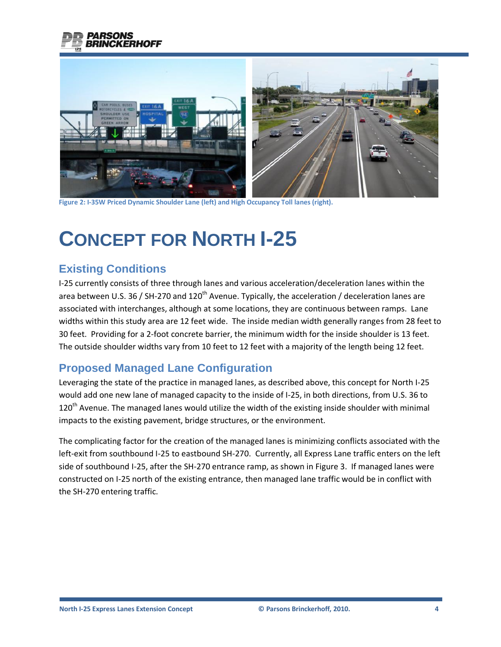



**Figure 2: I-35W Priced Dynamic Shoulder Lane (left) and High Occupancy Toll lanes (right).**

# <span id="page-3-0"></span>**CONCEPT FOR NORTH I-25**

### **Existing Conditions**

I-25 currently consists of three through lanes and various acceleration/deceleration lanes within the area between U.S. 36 / SH-270 and 120<sup>th</sup> Avenue. Typically, the acceleration / deceleration lanes are associated with interchanges, although at some locations, they are continuous between ramps. Lane widths within this study area are 12 feet wide. The inside median width generally ranges from 28 feet to 30 feet. Providing for a 2-foot concrete barrier, the minimum width for the inside shoulder is 13 feet. The outside shoulder widths vary from 10 feet to 12 feet with a majority of the length being 12 feet.

### **Proposed Managed Lane Configuration**

Leveraging the state of the practice in managed lanes, as described above, this concept for North I-25 would add one new lane of managed capacity to the inside of I-25, in both directions, from U.S. 36 to  $120<sup>th</sup>$  Avenue. The managed lanes would utilize the width of the existing inside shoulder with minimal impacts to the existing pavement, bridge structures, or the environment.

The complicating factor for the creation of the managed lanes is minimizing conflicts associated with the left-exit from southbound I-25 to eastbound SH-270. Currently, all Express Lane traffic enters on the left side of southbound I-25, after the SH-270 entrance ramp, as shown i[n Figure 3.](#page-4-0) If managed lanes were constructed on I-25 north of the existing entrance, then managed lane traffic would be in conflict with the SH-270 entering traffic.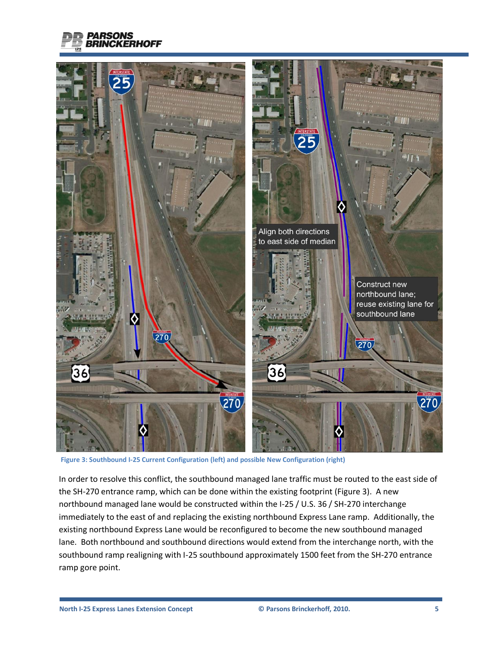



<span id="page-4-0"></span>**Figure 3: Southbound I-25 Current Configuration (left) and possible New Configuration (right)**

In order to resolve this conflict, the southbound managed lane traffic must be routed to the east side of the SH-270 entrance ramp, which can be done within the existing footprint [\(Figure 3\)](#page-4-0). A new northbound managed lane would be constructed within the I-25 / U.S. 36 / SH-270 interchange immediately to the east of and replacing the existing northbound Express Lane ramp. Additionally, the existing northbound Express Lane would be reconfigured to become the new southbound managed lane. Both northbound and southbound directions would extend from the interchange north, with the southbound ramp realigning with I-25 southbound approximately 1500 feet from the SH-270 entrance ramp gore point.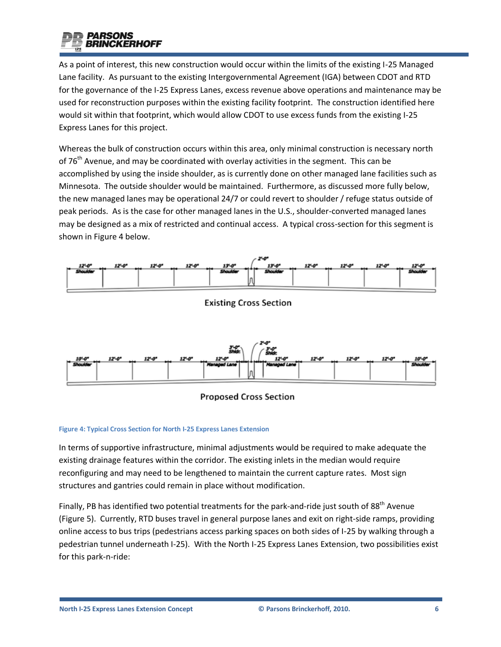

As a point of interest, this new construction would occur within the limits of the existing I-25 Managed Lane facility. As pursuant to the existing Intergovernmental Agreement (IGA) between CDOT and RTD for the governance of the I-25 Express Lanes, excess revenue above operations and maintenance may be used for reconstruction purposes within the existing facility footprint. The construction identified here would sit within that footprint, which would allow CDOT to use excess funds from the existing I-25 Express Lanes for this project.

Whereas the bulk of construction occurs within this area, only minimal construction is necessary north of 76<sup>th</sup> Avenue, and may be coordinated with overlay activities in the segment. This can be accomplished by using the inside shoulder, as is currently done on other managed lane facilities such as Minnesota. The outside shoulder would be maintained. Furthermore, as discussed more fully below, the new managed lanes may be operational 24/7 or could revert to shoulder / refuge status outside of peak periods. As is the case for other managed lanes in the U.S., shoulder-converted managed lanes may be designed as a mix of restricted and continual access. A typical cross-section for this segment is shown in [Figure 4](#page-5-0) below.



**Existing Cross Section** 





#### <span id="page-5-0"></span>**Figure 4: Typical Cross Section for North I-25 Express Lanes Extension**

In terms of supportive infrastructure, minimal adjustments would be required to make adequate the existing drainage features within the corridor. The existing inlets in the median would require reconfiguring and may need to be lengthened to maintain the current capture rates. Most sign structures and gantries could remain in place without modification.

Finally, PB has identified two potential treatments for the park-and-ride just south of 88<sup>th</sup> Avenue [\(Figure 5\)](#page-6-0). Currently, RTD buses travel in general purpose lanes and exit on right-side ramps, providing online access to bus trips (pedestrians access parking spaces on both sides of I-25 by walking through a pedestrian tunnel underneath I-25). With the North I-25 Express Lanes Extension, two possibilities exist for this park-n-ride: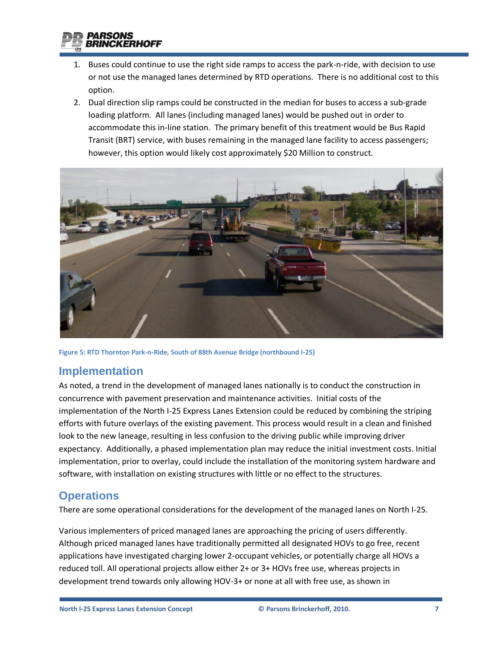

- 1. Buses could continue to use the right side ramps to access the park-n-ride, with decision to use or not use the managed lanes determined by RTD operations. There is no additional cost to this option.
- 2. Dual direction slip ramps could be constructed in the median for buses to access a sub-grade loading platform. All lanes (including managed lanes) would be pushed out in order to accommodate this in-line station. The primary benefit of this treatment would be Bus Rapid Transit (BRT) service, with buses remaining in the managed lane facility to access passengers; however, this option would likely cost approximately \$20 Million to construct.



**Figure 5: RTD Thornton Park-n-Ride, South of 88th Avenue Bridge (northbound I-25)**

### <span id="page-6-0"></span>**Implementation**

As noted, a trend in the development of managed lanes nationally is to conduct the construction in concurrence with pavement preservation and maintenance activities. Initial costs of the implementation of the North I-25 Express Lanes Extension could be reduced by combining the striping efforts with future overlays of the existing pavement. This process would result in a clean and finished look to the new laneage, resulting in less confusion to the driving public while improving driver expectancy. Additionally, a phased implementation plan may reduce the initial investment costs. Initial implementation, prior to overlay, could include the installation of the monitoring system hardware and software, with installation on existing structures with little or no effect to the structures.

### **Operations**

There are some operational considerations for the development of the managed lanes on North I-25.

Various implementers of priced managed lanes are approaching the pricing of users differently. Although priced managed lanes have traditionally permitted all designated HOVs to go free, recent applications have investigated charging lower 2-occupant vehicles, or potentially charge all HOVs a reduced toll. All operational projects allow either 2+ or 3+ HOVs free use, whereas projects in development trend towards only allowing HOV-3+ or none at all with free use, as shown i[n](#page-7-0)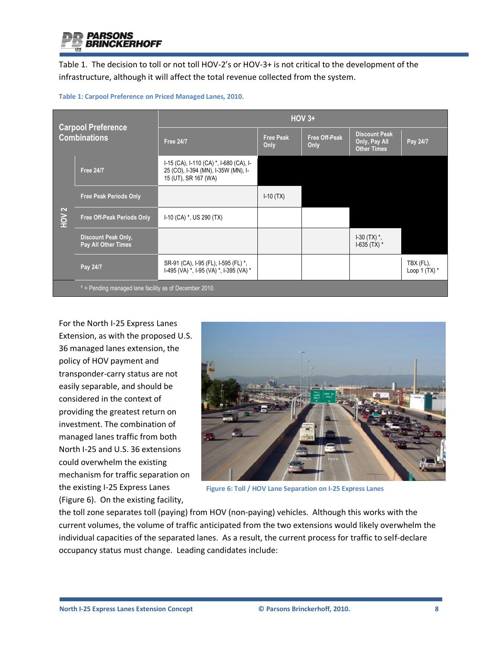

Table 1. The decision to toll or not toll HOV-2's or HOV-3+ is not critical to the development of the infrastructure, although it will affect the total revenue collected from the system.

| <b>Carpool Preference</b><br><b>Combinations</b> |                                                        | $HOV$ 3+                                                                                               |                          |                              |                                                             |                              |  |  |  |  |
|--------------------------------------------------|--------------------------------------------------------|--------------------------------------------------------------------------------------------------------|--------------------------|------------------------------|-------------------------------------------------------------|------------------------------|--|--|--|--|
|                                                  |                                                        | <b>Free 24/7</b>                                                                                       | <b>Free Peak</b><br>Only | <b>Free Off-Peak</b><br>Only | <b>Discount Peak</b><br>Only, Pay All<br><b>Other Times</b> | Pay 24/7                     |  |  |  |  |
| HOV <sub>2</sub>                                 | <b>Free 24/7</b>                                       | I-15 (CA), I-110 (CA) *, I-680 (CA), I-<br>25 (CO), I-394 (MN), I-35W (MN), I-<br>15 (UT), SR 167 (WA) |                          |                              |                                                             |                              |  |  |  |  |
|                                                  | <b>Free Peak Periods Only</b>                          |                                                                                                        | $I-10(TX)$               |                              |                                                             |                              |  |  |  |  |
|                                                  | Free Off-Peak Periods Only                             | $I-10$ (CA) $*$ , US 290 (TX)                                                                          |                          |                              |                                                             |                              |  |  |  |  |
|                                                  | Discount Peak Only,<br>Pay All Other Times             |                                                                                                        |                          |                              | $1-30$ (TX) $^*$ ,<br>$1-635$ (TX) $*$                      |                              |  |  |  |  |
|                                                  | Pay 24/7                                               | SR-91 (CA), I-95 (FL), I-595 (FL) *,<br>I-495 (VA) *, I-95 (VA) *, I-395 (VA) *                        |                          |                              |                                                             | TBX (FL),<br>Loop 1 $(TX)$ * |  |  |  |  |
|                                                  | * = Pending managed lane facility as of December 2010. |                                                                                                        |                          |                              |                                                             |                              |  |  |  |  |

**Table 1: Carpool Preference on Priced Managed Lanes, 2010.**

For the North I-25 Express Lanes Extension, as with the proposed U.S. 36 managed lanes extension, the policy of HOV payment and transponder-carry status are not easily separable, and should be considered in the context of providing the greatest return on investment. The combination of managed lanes traffic from both North I-25 and U.S. 36 extensions could overwhelm the existing mechanism for traffic separation on the existing I-25 Express Lanes [\(Figure 6\)](#page-7-1). On the existing facility,

<span id="page-7-0"></span>

**Figure 6: Toll / HOV Lane Separation on I-25 Express Lanes**

<span id="page-7-1"></span>the toll zone separates toll (paying) from HOV (non-paying) vehicles. Although this works with the current volumes, the volume of traffic anticipated from the two extensions would likely overwhelm the individual capacities of the separated lanes. As a result, the current process for traffic to self-declare occupancy status must change. Leading candidates include: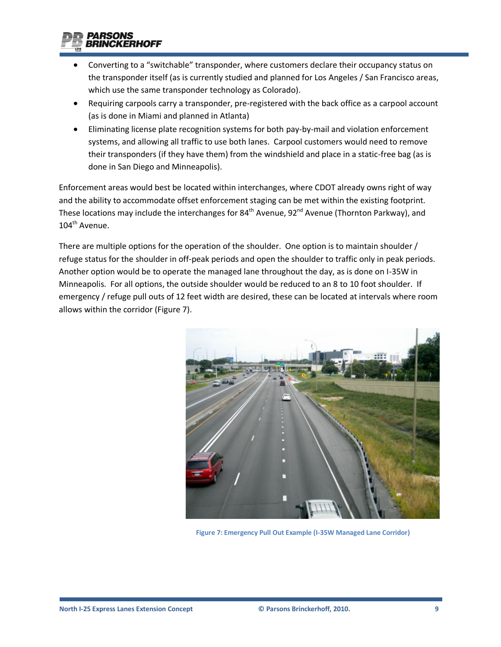

- Converting to a "switchable" transponder, where customers declare their occupancy status on the transponder itself (as is currently studied and planned for Los Angeles / San Francisco areas, which use the same transponder technology as Colorado).
- Requiring carpools carry a transponder, pre-registered with the back office as a carpool account (as is done in Miami and planned in Atlanta)
- Eliminating license plate recognition systems for both pay-by-mail and violation enforcement systems, and allowing all traffic to use both lanes. Carpool customers would need to remove their transponders (if they have them) from the windshield and place in a static-free bag (as is done in San Diego and Minneapolis).

Enforcement areas would best be located within interchanges, where CDOT already owns right of way and the ability to accommodate offset enforcement staging can be met within the existing footprint. These locations may include the interchanges for  $84<sup>th</sup>$  Avenue, 92<sup>nd</sup> Avenue (Thornton Parkway), and 104<sup>th</sup> Avenue.

There are multiple options for the operation of the shoulder. One option is to maintain shoulder / refuge status for the shoulder in off-peak periods and open the shoulder to traffic only in peak periods. Another option would be to operate the managed lane throughout the day, as is done on I-35W in Minneapolis. For all options, the outside shoulder would be reduced to an 8 to 10 foot shoulder. If emergency / refuge pull outs of 12 feet width are desired, these can be located at intervals where room allows within the corridor [\(Figure 7\)](#page-8-0).

<span id="page-8-0"></span>

**Figure 7: Emergency Pull Out Example (I-35W Managed Lane Corridor)**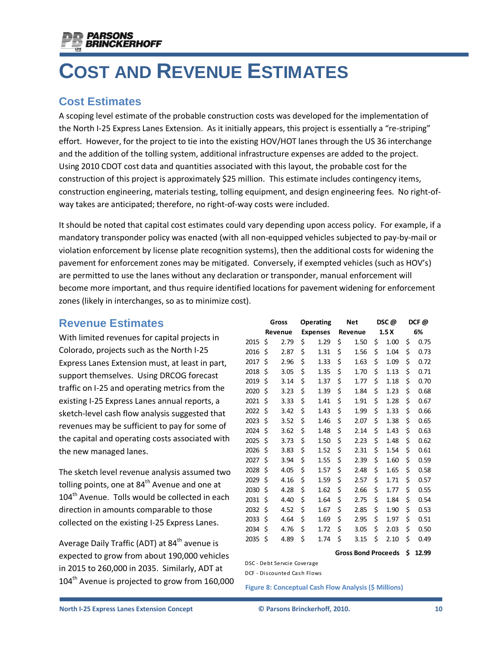

# **COST AND REVENUE ESTIMATES**

### **Cost Estimates**

A scoping level estimate of the probable construction costs was developed for the implementation of the North I-25 Express Lanes Extension. As it initially appears, this project is essentially a "re-striping" effort. However, for the project to tie into the existing HOV/HOT lanes through the US 36 interchange and the addition of the tolling system, additional infrastructure expenses are added to the project. Using 2010 CDOT cost data and quantities associated with this layout, the probable cost for the construction of this project is approximately \$25 million. This estimate includes contingency items, construction engineering, materials testing, tolling equipment, and design engineering fees. No right-ofway takes are anticipated; therefore, no right-of-way costs were included.

It should be noted that capital cost estimates could vary depending upon access policy. For example, if a mandatory transponder policy was enacted (with all non-equipped vehicles subjected to pay-by-mail or violation enforcement by license plate recognition systems), then the additional costs for widening the pavement for enforcement zones may be mitigated. Conversely, if exempted vehicles (such as HOV's) are permitted to use the lanes without any declaration or transponder, manual enforcement will become more important, and thus require identified locations for pavement widening for enforcement zones (likely in interchanges, so as to minimize cost).

### **Revenue Estimates**

With limited revenues for capital projects in Colorado, projects such as the North I-25 Express Lanes Extension must, at least in part, support themselves. Using DRCOG forecast traffic on I-25 and operating metrics from the existing I-25 Express Lanes annual reports, a sketch-level cash flow analysis suggested that revenues may be sufficient to pay for some of the capital and operating costs associated with the new managed lanes.

The sketch level revenue analysis assumed two tolling points, one at  $84<sup>th</sup>$  Avenue and one at 104<sup>th</sup> Avenue. Tolls would be collected in each direction in amounts comparable to those collected on the existing I-25 Express Lanes.

Average Daily Traffic (ADT) at 84<sup>th</sup> avenue is expected to grow from about 190,000 vehicles in 2015 to 260,000 in 2035. Similarly, ADT at 104<sup>th</sup> Avenue is projected to grow from 160,000

|                                                              | Gross   |      | Operating       |      | <b>Net</b> |                            | DSC@             |      | DCF@ |       |  |  |
|--------------------------------------------------------------|---------|------|-----------------|------|------------|----------------------------|------------------|------|------|-------|--|--|
|                                                              | Revenue |      | <b>Expenses</b> |      | Revenue    |                            | 1.5 <sub>X</sub> |      | 6%   |       |  |  |
| 2015                                                         | \$      | 2.79 | \$              | 1.29 | \$         | 1.50                       | \$               | 1.00 | \$   | 0.75  |  |  |
| 2016                                                         | \$      | 2.87 | \$              | 1.31 | \$         | 1.56                       | \$               | 1.04 | \$   | 0.73  |  |  |
| 2017                                                         | \$      | 2.96 | \$              | 1.33 | \$         | 1.63                       | \$               | 1.09 | \$   | 0.72  |  |  |
| 2018                                                         | \$      | 3.05 | \$              | 1.35 | \$         | 1.70                       | \$               | 1.13 | \$   | 0.71  |  |  |
| 2019                                                         | \$      | 3.14 | \$              | 1.37 | \$         | 1.77                       | \$               | 1.18 | \$   | 0.70  |  |  |
| 2020                                                         | \$      | 3.23 | \$              | 1.39 | \$         | 1.84                       | \$               | 1.23 | \$   | 0.68  |  |  |
| 2021                                                         | \$      | 3.33 | \$              | 1.41 | \$         | 1.91                       | \$               | 1.28 | \$   | 0.67  |  |  |
| 2022                                                         | \$      | 3.42 | \$              | 1.43 | \$         | 1.99                       | \$               | 1.33 | \$   | 0.66  |  |  |
| 2023                                                         | \$      | 3.52 | \$              | 1.46 | \$         | 2.07                       | \$               | 1.38 | \$   | 0.65  |  |  |
| 2024                                                         | \$      | 3.62 | \$              | 1.48 | \$         | 2.14                       | \$               | 1.43 | \$   | 0.63  |  |  |
| 2025                                                         | \$      | 3.73 | \$              | 1.50 | \$         | 2.23                       | \$               | 1.48 | \$   | 0.62  |  |  |
| 2026                                                         | \$      | 3.83 | \$              | 1.52 | \$         | 2.31                       | \$               | 1.54 | \$   | 0.61  |  |  |
| 2027                                                         | \$      | 3.94 | \$              | 1.55 | \$         | 2.39                       | \$               | 1.60 | \$   | 0.59  |  |  |
| 2028                                                         | \$      | 4.05 | \$              | 1.57 | \$         | 2.48                       | \$               | 1.65 | \$   | 0.58  |  |  |
| 2029                                                         | \$      | 4.16 | \$              | 1.59 | \$         | 2.57                       | \$               | 1.71 | \$   | 0.57  |  |  |
| 2030                                                         | \$      | 4.28 | \$              | 1.62 | \$         | 2.66                       | \$               | 1.77 | \$   | 0.55  |  |  |
| 2031                                                         | \$      | 4.40 | \$              | 1.64 | \$         | 2.75                       | \$               | 1.84 | \$   | 0.54  |  |  |
| 2032                                                         | \$      | 4.52 | \$              | 1.67 | \$         | 2.85                       | \$               | 1.90 | \$   | 0.53  |  |  |
| 2033                                                         | \$      | 4.64 | \$              | 1.69 | \$         | 2.95                       | \$               | 1.97 | \$   | 0.51  |  |  |
| 2034                                                         | \$      | 4.76 | \$              | 1.72 | \$         | 3.05                       | \$               | 2.03 | \$   | 0.50  |  |  |
| 2035                                                         | \$      | 4.89 | \$              | 1.74 | \$         | 3.15                       | \$               | 2.10 | \$   | 0.49  |  |  |
|                                                              |         |      |                 |      |            | <b>Gross Bond Proceeds</b> |                  |      | \$   | 12.99 |  |  |
| DSC - Debt Servcie Coverage                                  |         |      |                 |      |            |                            |                  |      |      |       |  |  |
| DCF - Discounted Cash Flows                                  |         |      |                 |      |            |                            |                  |      |      |       |  |  |
| <b>Figure 8: Conceptual Cash Flow Analysis (\$ Millions)</b> |         |      |                 |      |            |                            |                  |      |      |       |  |  |